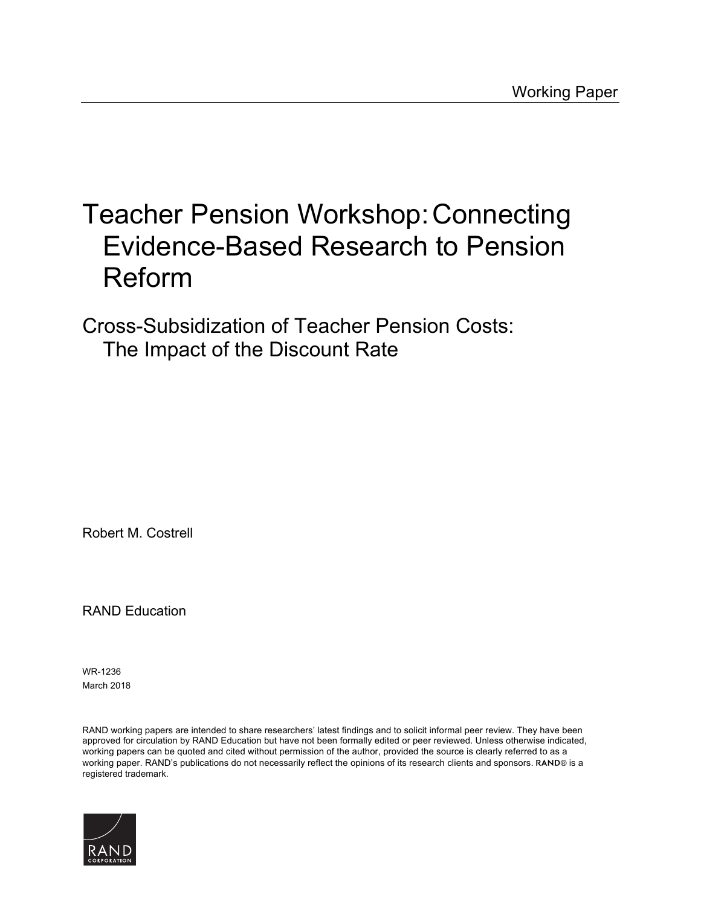#### [Teacher Pension Workshop:Connecting](https://www.rand.org/pubs/working_papers/WR1236.html)  Evidence-Based Research to Pension Reform

Cross-Subsidization of Teacher Pension Costs: The Impact of the Discount Rate

Robert M. Costrell

RAND Education

WR-1236 March 2018

RAND working papers are intended to share researchers' latest findings and to solicit informal peer review. They have been approved for circulation by RAND Education but have not been formally edited or peer reviewed. Unless otherwise indicated, working papers can be quoted and cited without permission of the author, provided the source is clearly referred to as a working paper. RAND's publications do not necessarily reflect the opinions of its research clients and sponsors. RAND® is a registered trademark.

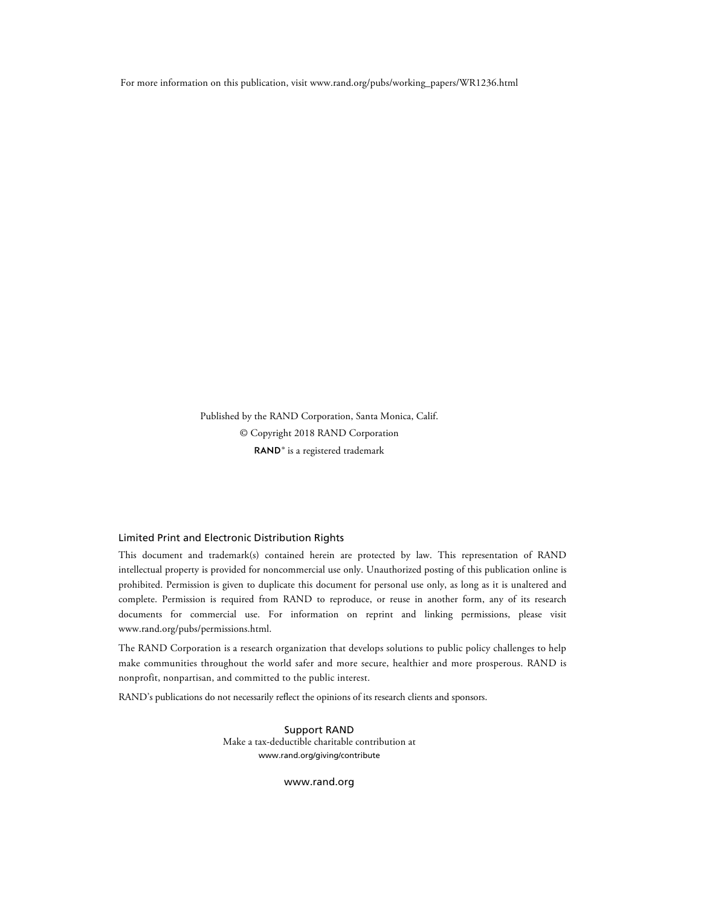For more information on this publication, visit [www.rand.org/pubs/working\\_papers/WR1236.html](http://www.rand.org/pubs/working_papers/WR1236.html)

Published by the RAND Corporation, Santa Monica, Calif. © Copyright 2018 RAND Corporation RAND<sup>®</sup> is a registered trademark

#### Limited Print and Electronic Distribution Rights

This document and trademark(s) contained herein are protected by law. This representation of RAND intellectual property is provided for noncommercial use only. Unauthorized posting of this publication online is prohibited. Permission is given to duplicate this document for personal use only, as long as it is unaltered and complete. Permission is required from RAND to reproduce, or reuse in another form, any of its research documents for commercial use. For information on reprint and linking permissions, please visit [www.rand.org/pubs/permissions.html.](http://www.rand.org/pubs/permissions.html)

The RAND Corporation is a research organization that develops solutions to public policy challenges to help make communities throughout the world safer and more secure, healthier and more prosperous. RAND is nonprofit, nonpartisan, and committed to the public interest.

RAND's publications do not necessarily reflect the opinions of its research clients and sponsors.

Support RAND Make a tax-deductible charitable contribution at [www.rand.org/giving/contribute](http://www.rand.org/giving/contribute)

[www.rand.org](http://www.rand.org)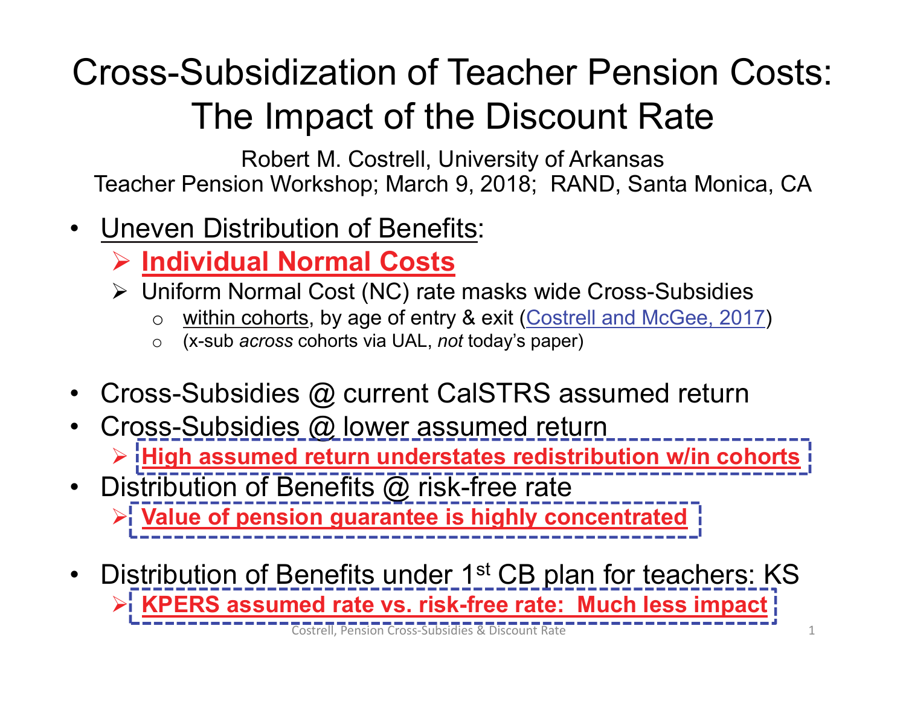# Cross-Subsidization of Teacher Pension Costs: The Impact of the Discount Rate

Robert M. Costrell, University of Arkansas Teacher Pension Workshop; March 9, 2018; RAND, Santa Monica, CA

- • Uneven Distribution of Benefits:
	- **Individual Normal Costs**
	- Uniform Normal Cost (NC) rate masks wide Cross-Subsidies
		- $\Omega$ within cohorts, by age of entry & exit (Costrell and McGee, 2017)
		- $\Omega$ (x-sub *across* cohorts via UAL, *not* today's paper)
- •Cross-Subsidies @ current CalSTRS assumed return
- •Cross-Subsidies @ lower assumed return **High assumed return understates redistribution w/in cohorts**
- $\bullet$ Distribution of Benefits @ risk-free rate **Value of pension guarantee is highly concentrated**
- •Distribution of Benefits under 1<sup>st</sup> CB plan for teachers: KS **KPERS assumed rate vs. risk-free rate: Much less impact** Costrell, Pension Cross‐Subsidies & Discount Rate 1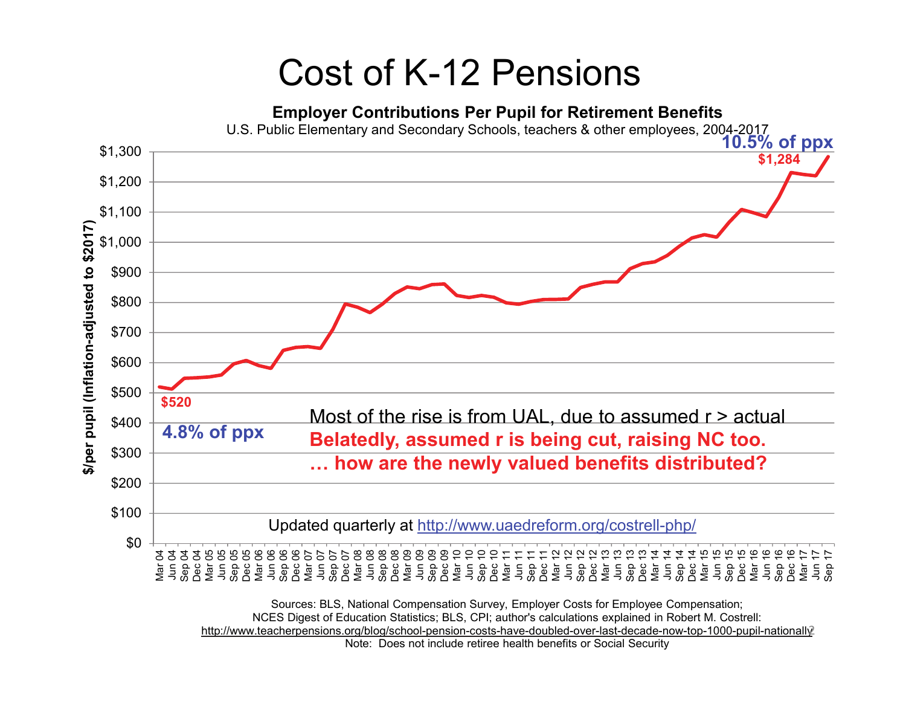#### Cost of K-12 Pensions

#### **Employer Contributions Per Pupil for Retirement Benefits**



Note: Does not include retiree health benefits or Social Security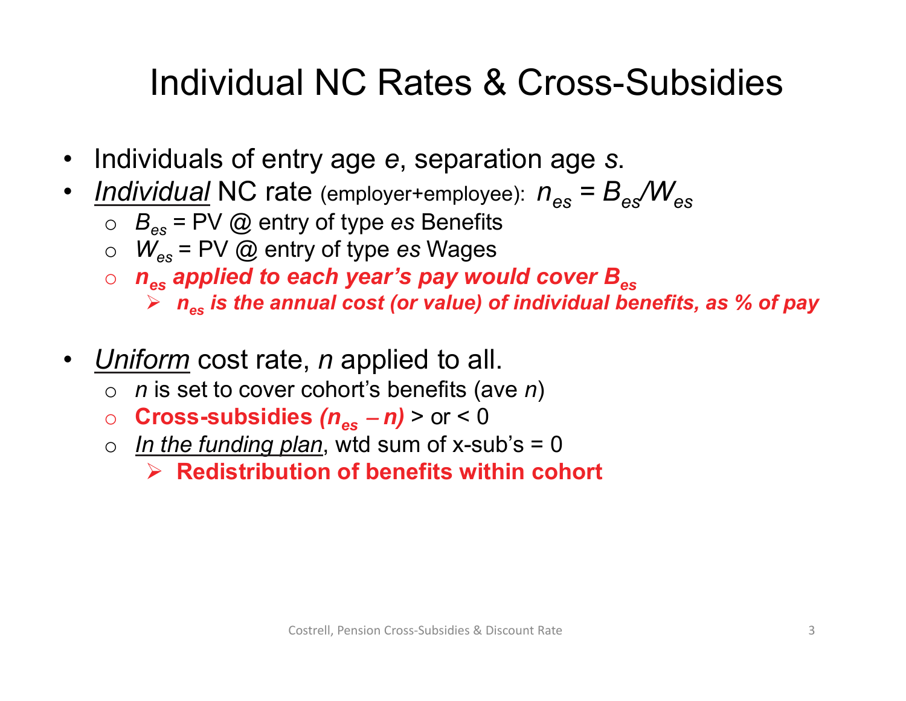## Individual NC Rates & Cross-Subsidies

- $\bullet$ Individuals of entry age *<sup>e</sup>*, separation age *s*.
- *Individual* NC rate (employer+employee): *nes = Bes/Wes*
	- o *Bes* = PV @ entry of type *es* Benefits
	- o *Wes* = PV @ entry of type *es* Wages
	- $\circ$  n<sub>es</sub> applied to each year's pay would cover B<sub>es</sub>
		- *nes is the annual cost (or value) of individual benefits, as % of pay*
- *Uniform* cost rate, *n* applied to all.
	- o *n* is set to cover cohort's benefits (ave *n* )
	- o **Cross-subsidies** *(nesn)* > or < 0
	- o *In the funding plan*, wtd sum of x-sub's = 0
		- **Redistribution of benefits within cohort**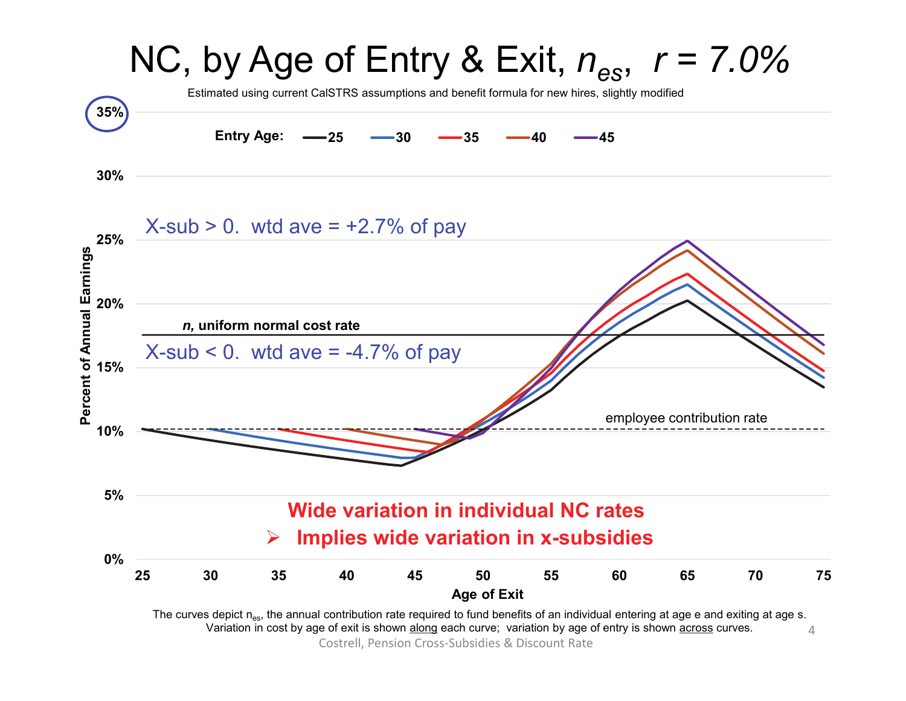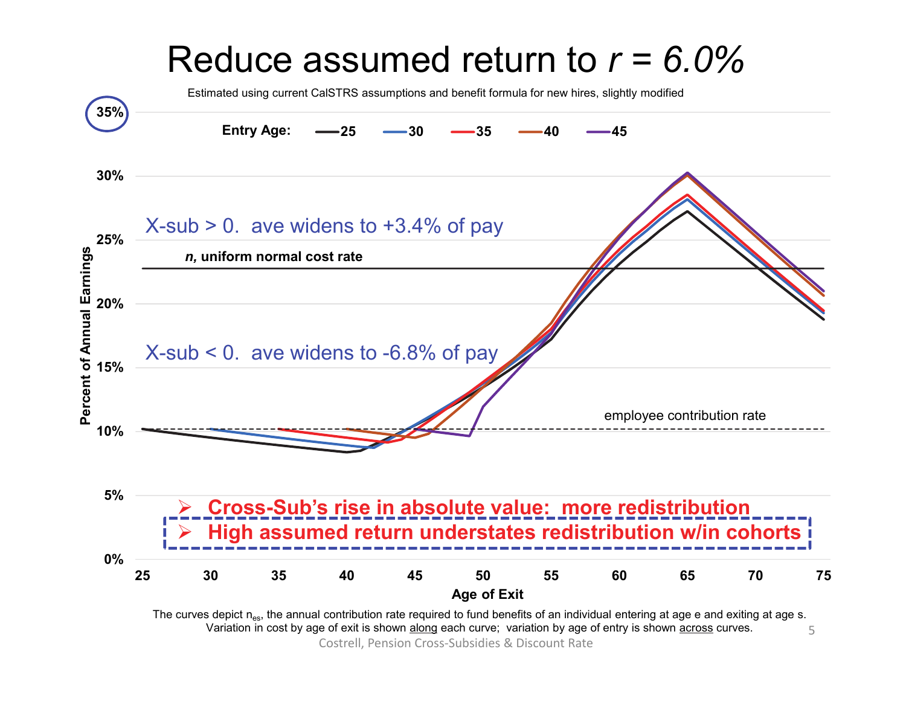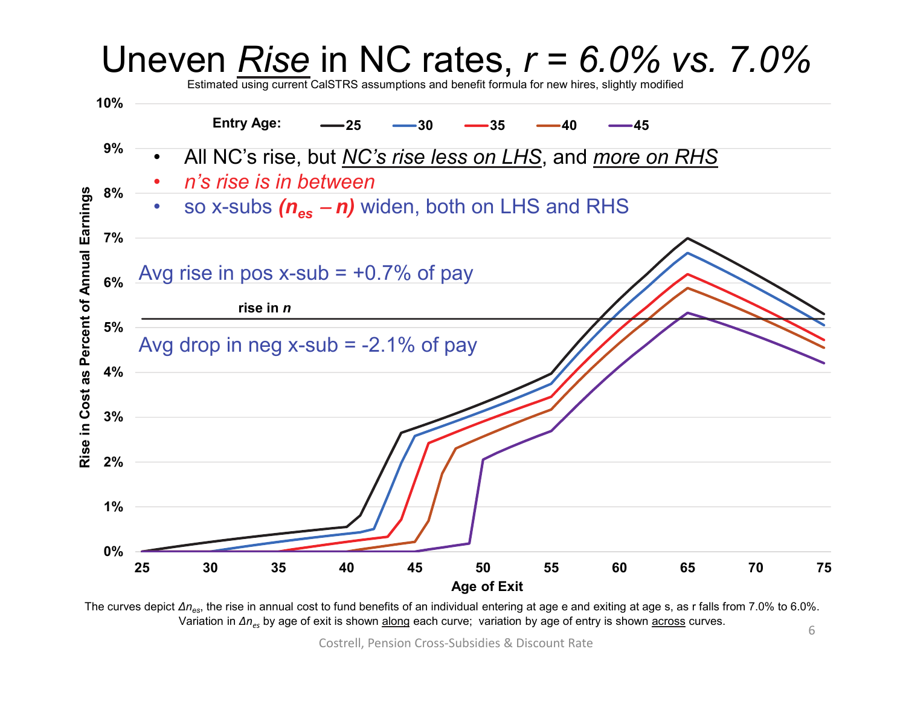

The curves depict  $\Delta n_{\rm es}$ , the rise in annual cost to fund benefits of an individual entering at age e and exiting at age s, as r falls from 7.0% to 6.0%.  $\Delta n_{\rm gs}$ , the necessity and all the sensitive of an individual entering at age of and exting at age of  $\Delta n_{\rm es}$  by age of exit is shown along each curve; variation by age of entry is shown <u>across</u> curves.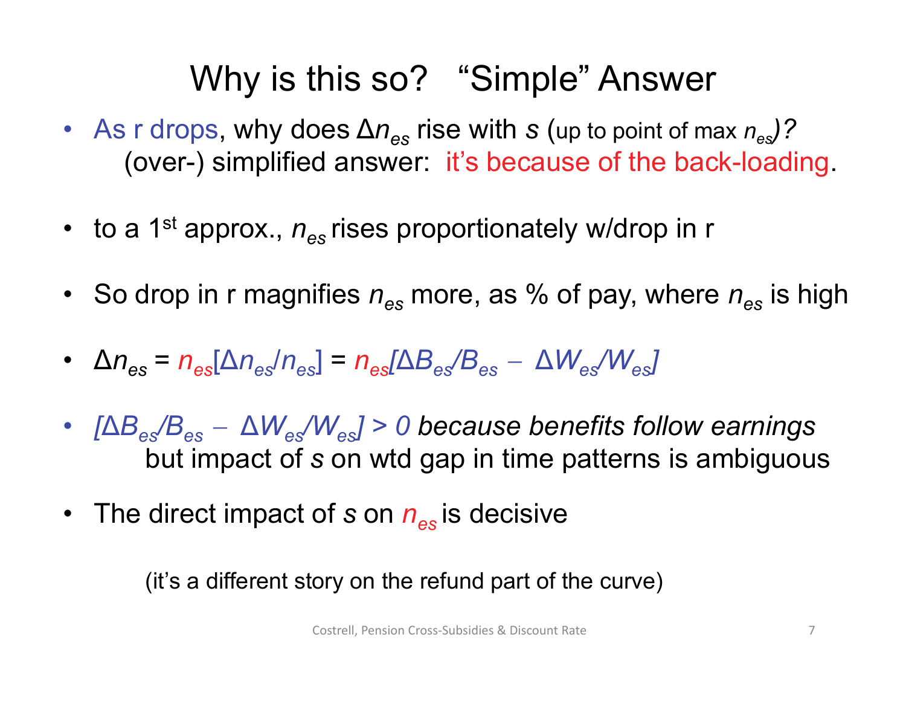### Why is this so? "Simple" Answer

- As r drops, why does ∆ *nes* rise with *s* (up to point of max *nes)?* (over-) simplified answer: it's because of the back-loading.
- to a 1<sup>st</sup> approx.,  $n_{\rm es}$  rises proportionately w/drop in r
- So drop in r magnifies  $n_{\rm es}$  more, as % of pay, where  $n_{\rm es}$  is high
- $\Delta n_{\rm es} = n_{\rm es} [\Delta n_{\rm es}/n_{\rm es}] = n_{\rm es} [\Delta B_{\rm es}/B_{\rm es}]$ ∆ *Wes/Wes]*
- *[*∆ *Bes/Bes* ∆ *Wes/Wes] > 0 because benefits follow earnings* but impact of *s* on wtd gap in time patterns is ambiguous
- The direct impact of *s* on *nes* is decisive

(it's a different story on the refund part of the curve)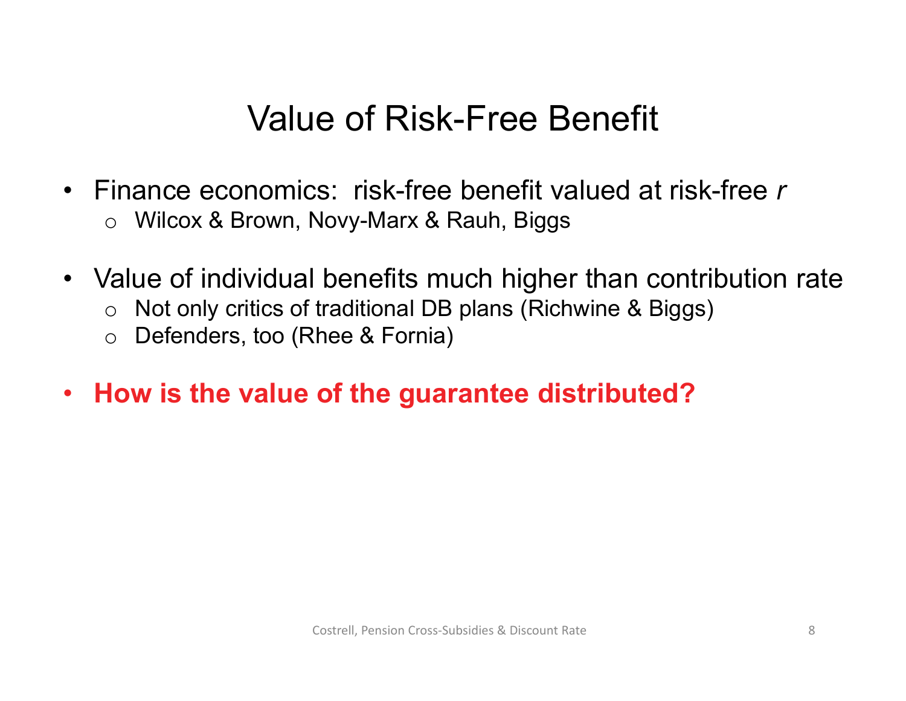#### Value of Risk-Free Benefit

- $\bullet$  Finance economics: risk-free benefit valued at risk-free *r*o Wilcox & Brown, Novy-Marx & Rauh, Biggs
- Value of individual benefits much higher than contribution rate
	- oNot only critics of traditional DB plans (Richwine & Biggs)
	- $\Omega$ Defenders, too (Rhee & Fornia)
- **How is the value of the guarantee distributed?**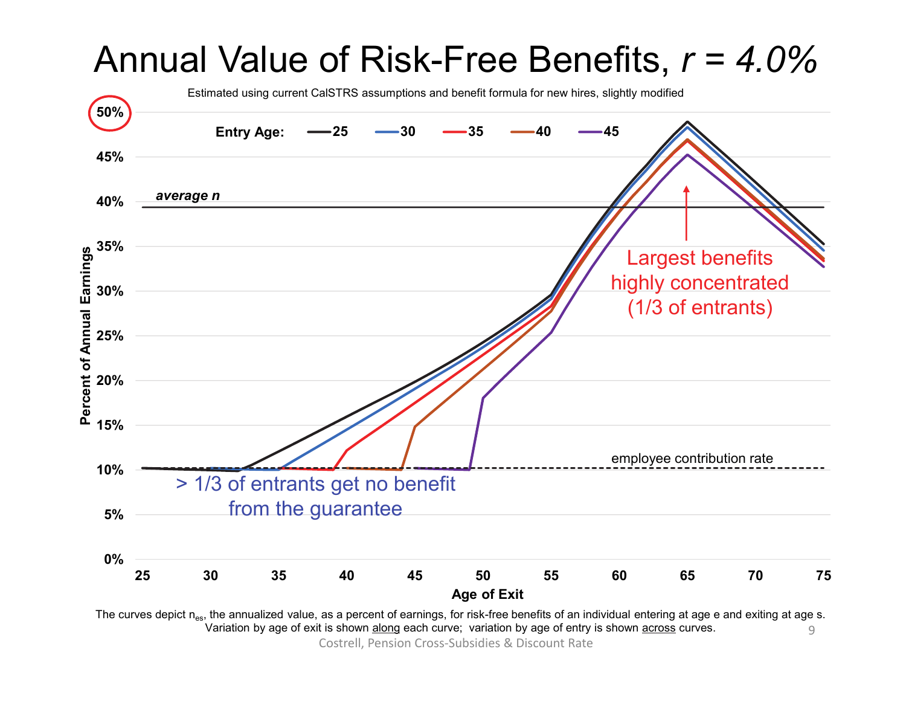

Variation in cost by age of exit is shown along each curve; variation by age of entry is shown across curves. Variation by age of exit is shown along each curve; variation by age of entry is shown across curves.

Costrell, Pension Cross‐Subsidies & Discount Rate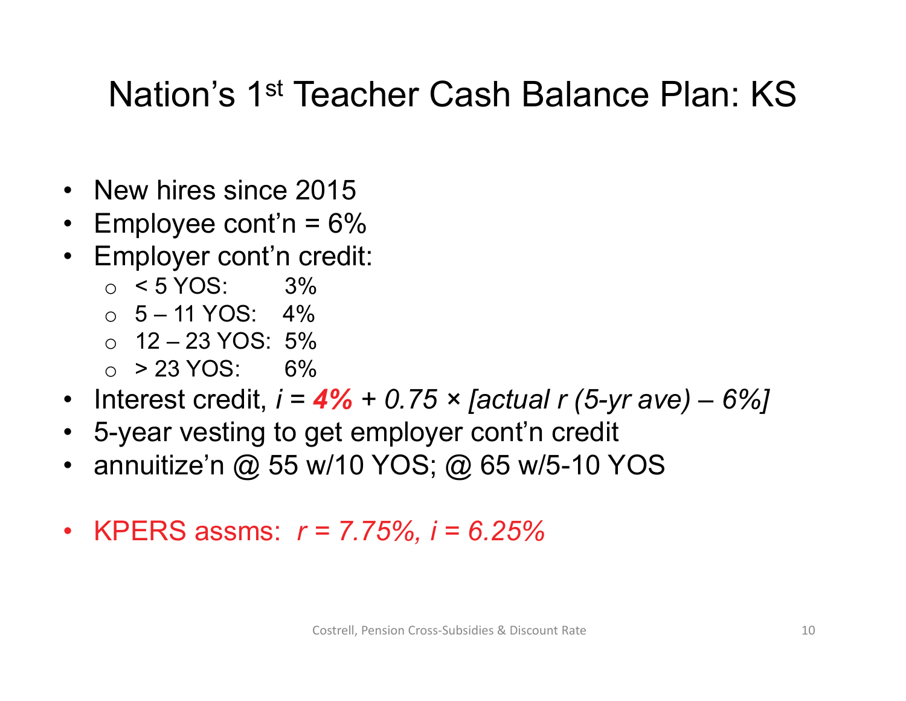#### Nation's 1st Teacher Cash Balance Plan: KS

- New hires since 2015
- $\bullet$ Employee cont'n  $= 6\%$
- Employer cont'n credit:
	- $\circ$  < 5 YOS: 3%
	- $\circ$  5 11 YOS: 4%
	- o 12 23 YOS: 5%
	- $\circ$  > 23 YOS: 6%
- Interest credit, *i <sup>=</sup>4% + 0.75 × [actual r (5-yr ave) – 6%]*
- 5-year vesting to get employer cont'n credit
- annuitize'n @ 55 w/10 YOS; @ 65 w/5-10 YOS
- KPERS assms: *r = 7.75%, i = 6.25%*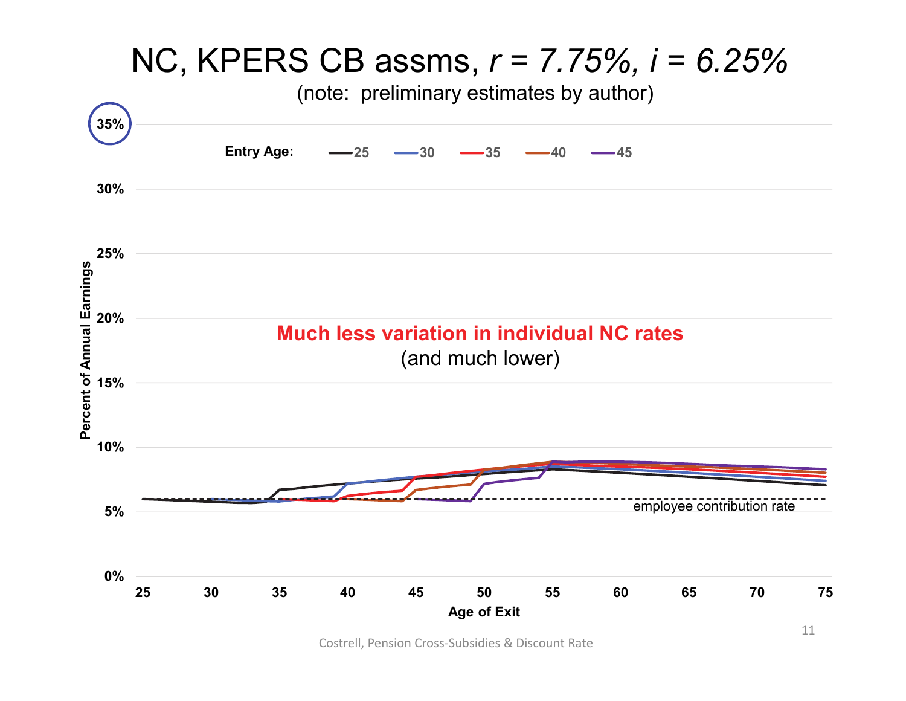

Costrell, Pension Cross‐Subsidies & Discount Rate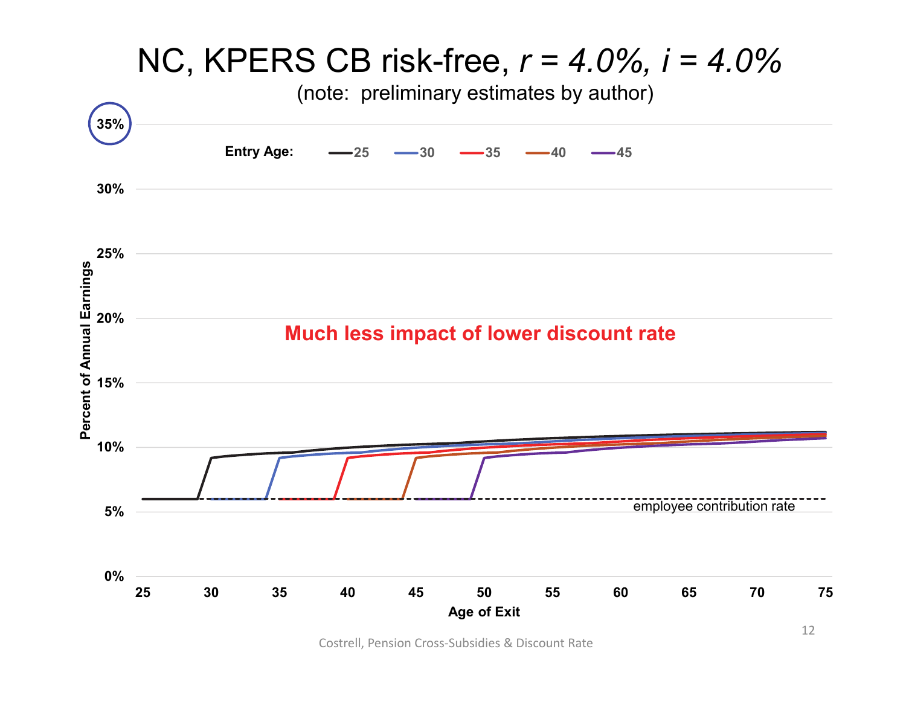

Costrell, Pension Cross‐Subsidies & Discount Rate